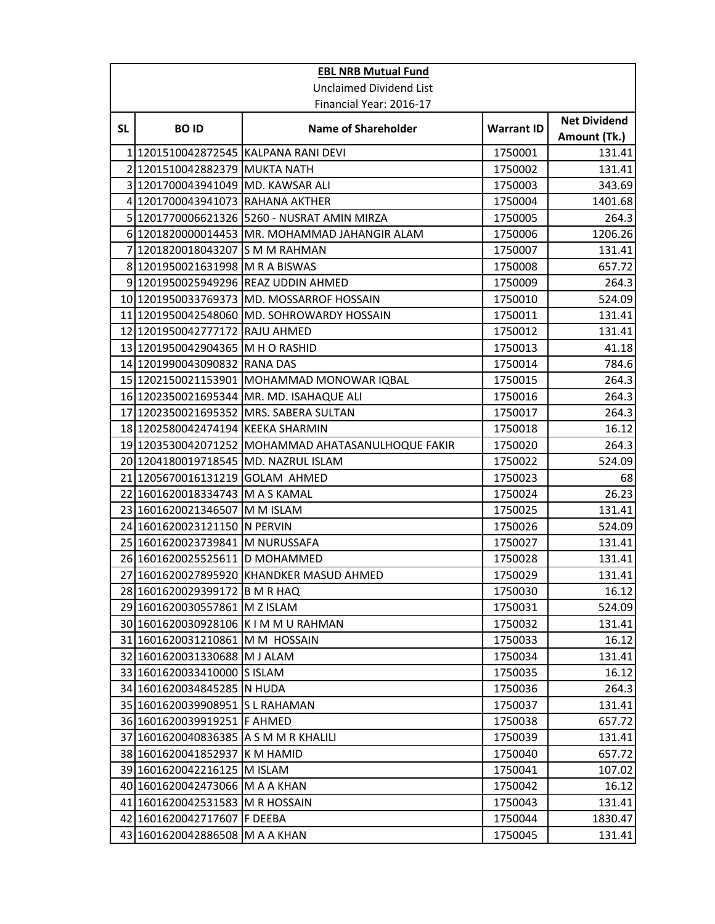| <b>EBL NRB Mutual Fund</b>     |                                       |                                                    |                   |                                     |  |  |  |
|--------------------------------|---------------------------------------|----------------------------------------------------|-------------------|-------------------------------------|--|--|--|
| <b>Unclaimed Dividend List</b> |                                       |                                                    |                   |                                     |  |  |  |
|                                | Financial Year: 2016-17               |                                                    |                   |                                     |  |  |  |
| <b>SL</b>                      | <b>BOID</b>                           | <b>Name of Shareholder</b>                         | <b>Warrant ID</b> | <b>Net Dividend</b><br>Amount (Tk.) |  |  |  |
|                                | 1201510042872545 KALPANA RANI DEVI    |                                                    | 1750001           | 131.41                              |  |  |  |
| $\overline{2}$                 | 1201510042882379 MUKTA NATH           |                                                    | 1750002           | 131.41                              |  |  |  |
|                                | 3 1201700043941049 MD. KAWSAR ALI     |                                                    | 1750003           | 343.69                              |  |  |  |
| 4                              | 1201700043941073 RAHANA AKTHER        |                                                    | 1750004           | 1401.68                             |  |  |  |
| 5                              |                                       | 1201770006621326 5260 - NUSRAT AMIN MIRZA          | 1750005           | 264.3                               |  |  |  |
|                                |                                       | 6 1201820000014453 MR. MOHAMMAD JAHANGIR ALAM      | 1750006           | 1206.26                             |  |  |  |
| 7                              | 1201820018043207 S M M RAHMAN         |                                                    | 1750007           | 131.41                              |  |  |  |
|                                | 8 1201950021631998 M R A BISWAS       |                                                    | 1750008           | 657.72                              |  |  |  |
|                                |                                       | 9 1201950025949296 REAZ UDDIN AHMED                | 1750009           | 264.3                               |  |  |  |
|                                |                                       | 10 1201950033769373 MD. MOSSARROF HOSSAIN          | 1750010           | 524.09                              |  |  |  |
| 11                             |                                       | 1201950042548060 MD. SOHROWARDY HOSSAIN            | 1750011           | 131.41                              |  |  |  |
| 12                             | 1201950042777172 RAJU AHMED           |                                                    | 1750012           | 131.41                              |  |  |  |
|                                | 13 1201950042904365 M H O RASHID      |                                                    | 1750013           | 41.18                               |  |  |  |
|                                | 14 1201990043090832 RANA DAS          |                                                    | 1750014           | 784.6                               |  |  |  |
|                                |                                       | 15 1202150021153901 MOHAMMAD MONOWAR IQBAL         | 1750015           | 264.3                               |  |  |  |
|                                |                                       | 16 1202350021695344 MR. MD. ISAHAQUE ALI           | 1750016           | 264.3                               |  |  |  |
| 17                             | 1202350021695352                      | MRS. SABERA SULTAN                                 | 1750017           | 264.3                               |  |  |  |
|                                | 18 1202580042474194 KEEKA SHARMIN     |                                                    | 1750018           | 16.12                               |  |  |  |
|                                |                                       | 19 1203530042071252 MOHAMMAD AHATASANULHOQUE FAKIR | 1750020           | 264.3                               |  |  |  |
|                                | 20 1204180019718545 MD. NAZRUL ISLAM  |                                                    | 1750022           | 524.09                              |  |  |  |
|                                | 21 1205670016131219 GOLAM AHMED       |                                                    | 1750023           | 68                                  |  |  |  |
|                                | 22 1601620018334743 M A S KAMAL       |                                                    | 1750024           | 26.23                               |  |  |  |
|                                | 23 1601620021346507 M M ISLAM         |                                                    | 1750025           | 131.41                              |  |  |  |
|                                | 24 1601620023121150 N PERVIN          |                                                    | 1750026           | 524.09                              |  |  |  |
|                                | 25 1601620023739841 M NURUSSAFA       |                                                    | 1750027           | 131.41                              |  |  |  |
|                                | 26 1601620025525611 D MOHAMMED        |                                                    | 1750028           | 131.41                              |  |  |  |
| 27                             |                                       | 1601620027895920 KHANDKER MASUD AHMED              | 1750029           | 131.41                              |  |  |  |
|                                | 28 1601620029399172 B M R HAQ         |                                                    | 1750030           | 16.12                               |  |  |  |
|                                | 29 1601620030557861 M Z ISLAM         |                                                    | 1750031           | 524.09                              |  |  |  |
|                                | 30 1601620030928106 K I M M U RAHMAN  |                                                    | 1750032           | 131.41                              |  |  |  |
|                                | 31 1601620031210861 M M HOSSAIN       |                                                    | 1750033           | 16.12                               |  |  |  |
|                                | 32 1601620031330688 M J ALAM          |                                                    | 1750034           | 131.41                              |  |  |  |
|                                | 33 1601620033410000 S ISLAM           |                                                    | 1750035           | 16.12                               |  |  |  |
|                                | 34 1601620034845285 N HUDA            |                                                    | 1750036           | 264.3                               |  |  |  |
|                                | 35 1601620039908951 S L RAHAMAN       |                                                    | 1750037           | 131.41                              |  |  |  |
|                                | 36 1601620039919251 F AHMED           |                                                    | 1750038           | 657.72                              |  |  |  |
|                                | 37 1601620040836385 A S M M R KHALILI |                                                    | 1750039           | 131.41                              |  |  |  |
|                                | 38 1601620041852937                   | K M HAMID                                          | 1750040           | 657.72                              |  |  |  |
|                                | 39 1601620042216125 M ISLAM           |                                                    | 1750041           | 107.02                              |  |  |  |
|                                | 40 1601620042473066 M A A KHAN        |                                                    | 1750042           | 16.12                               |  |  |  |
| 41                             | 1601620042531583                      | <b>M R HOSSAIN</b>                                 | 1750043           | 131.41                              |  |  |  |
|                                | 42 1601620042717607 F DEEBA           |                                                    | 1750044           | 1830.47                             |  |  |  |
|                                | 43 1601620042886508 M A A KHAN        |                                                    | 1750045           | 131.41                              |  |  |  |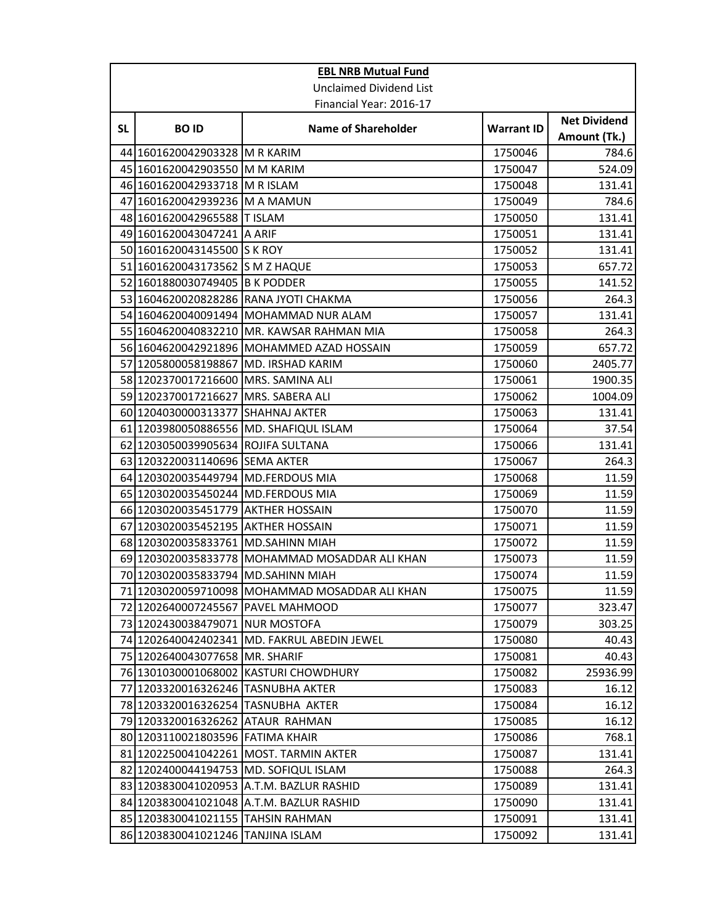| <b>EBL NRB Mutual Fund</b>     |                                      |                                                |                   |                                     |  |  |  |
|--------------------------------|--------------------------------------|------------------------------------------------|-------------------|-------------------------------------|--|--|--|
| <b>Unclaimed Dividend List</b> |                                      |                                                |                   |                                     |  |  |  |
|                                |                                      | Financial Year: 2016-17                        |                   |                                     |  |  |  |
| <b>SL</b>                      | <b>BOID</b>                          | <b>Name of Shareholder</b>                     | <b>Warrant ID</b> | <b>Net Dividend</b><br>Amount (Tk.) |  |  |  |
| 44                             | 1601620042903328 M R KARIM           |                                                | 1750046           | 784.6                               |  |  |  |
|                                | 45 1601620042903550 M M KARIM        |                                                | 1750047           | 524.09                              |  |  |  |
|                                | 46 1601620042933718 M R ISLAM        |                                                | 1750048           | 131.41                              |  |  |  |
| 47                             | 1601620042939236 M A MAMUN           |                                                | 1750049           | 784.6                               |  |  |  |
|                                | 48 1601620042965588 T ISLAM          |                                                | 1750050           | 131.41                              |  |  |  |
|                                | 49 1601620043047241 A ARIF           |                                                | 1750051           | 131.41                              |  |  |  |
|                                | 50 1601620043145500 S K ROY          |                                                | 1750052           | 131.41                              |  |  |  |
|                                | 51 1601620043173562 S M Z HAQUE      |                                                | 1750053           | 657.72                              |  |  |  |
|                                | 52 1601880030749405 B K PODDER       |                                                | 1750055           | 141.52                              |  |  |  |
|                                |                                      | 53 1604620020828286 RANA JYOTI CHAKMA          | 1750056           | 264.3                               |  |  |  |
|                                |                                      | 54 1604620040091494 MOHAMMAD NUR ALAM          | 1750057           | 131.41                              |  |  |  |
|                                | 55 1604620040832210                  | MR. KAWSAR RAHMAN MIA                          | 1750058           | 264.3                               |  |  |  |
|                                |                                      | 56 1604620042921896 MOHAMMED AZAD HOSSAIN      | 1750059           | 657.72                              |  |  |  |
|                                | 57 1205800058198867 MD. IRSHAD KARIM |                                                | 1750060           | 2405.77                             |  |  |  |
|                                | 58 1202370017216600                  | MRS. SAMINA ALI                                | 1750061           | 1900.35                             |  |  |  |
|                                | 59 1202370017216627 MRS. SABERA ALI  |                                                | 1750062           | 1004.09                             |  |  |  |
|                                | 60 1204030000313377                  | <b>SHAHNAJ AKTER</b>                           | 1750063           | 131.41                              |  |  |  |
|                                |                                      | 61 1203980050886556 MD. SHAFIQUL ISLAM         | 1750064           | 37.54                               |  |  |  |
| 62                             | 1203050039905634 ROJIFA SULTANA      |                                                | 1750066           | 131.41                              |  |  |  |
|                                | 63 1203220031140696 SEMA AKTER       |                                                | 1750067           | 264.3                               |  |  |  |
|                                | 64 1203020035449794 MD.FERDOUS MIA   |                                                | 1750068           | 11.59                               |  |  |  |
|                                | 65 1203020035450244 MD.FERDOUS MIA   |                                                | 1750069           | 11.59                               |  |  |  |
|                                | 66 1203020035451779                  | <b>AKTHER HOSSAIN</b>                          | 1750070           | 11.59                               |  |  |  |
| 67                             | 1203020035452195                     | <b>AKTHER HOSSAIN</b>                          | 1750071           | 11.59                               |  |  |  |
|                                | 68 1203020035833761 MD.SAHINN MIAH   |                                                | 1750072           | 11.59                               |  |  |  |
|                                | 69 1203020035833778                  | MOHAMMAD MOSADDAR ALI KHAN                     | 1750073           | 11.59                               |  |  |  |
| 70                             | 1203020035833794                     | <b>IMD.SAHINN MIAH</b>                         | 1750074           | 11.59                               |  |  |  |
|                                |                                      | 71 1203020059710098 MOHAMMAD MOSADDAR ALI KHAN | 1750075           | 11.59                               |  |  |  |
|                                | 72 1202640007245567 PAVEL MAHMOOD    |                                                | 1750077           | 323.47                              |  |  |  |
| 73                             | 1202430038479071 NUR MOSTOFA         |                                                | 1750079           | 303.25                              |  |  |  |
|                                |                                      | 74 1202640042402341 MD. FAKRUL ABEDIN JEWEL    | 1750080           | 40.43                               |  |  |  |
|                                | 75 1202640043077658 MR. SHARIF       |                                                | 1750081           | 40.43                               |  |  |  |
|                                | 76 1301030001068002                  | <b>KASTURI CHOWDHURY</b>                       | 1750082           | 25936.99                            |  |  |  |
| 77                             | 1203320016326246 TASNUBHA AKTER      |                                                | 1750083           | 16.12                               |  |  |  |
|                                | 78 1203320016326254 TASNUBHA AKTER   |                                                | 1750084           | 16.12                               |  |  |  |
|                                | 79 1203320016326262                  | <b>ATAUR RAHMAN</b>                            | 1750085           | 16.12                               |  |  |  |
|                                | 80 1203110021803596 FATIMA KHAIR     |                                                | 1750086           | 768.1                               |  |  |  |
| 81                             |                                      | 1202250041042261 MOST. TARMIN AKTER            | 1750087           | 131.41                              |  |  |  |
| 82                             |                                      | 1202400044194753 MD. SOFIQUL ISLAM             | 1750088           | 264.3                               |  |  |  |
|                                | 83 1203830041020953                  | A.T.M. BAZLUR RASHID                           | 1750089           | 131.41                              |  |  |  |
|                                |                                      | 84 1203830041021048 A.T.M. BAZLUR RASHID       | 1750090           | 131.41                              |  |  |  |
|                                | 85 1203830041021155 TAHSIN RAHMAN    |                                                | 1750091           | 131.41                              |  |  |  |
|                                | 86 1203830041021246 TANJINA ISLAM    |                                                | 1750092           | 131.41                              |  |  |  |